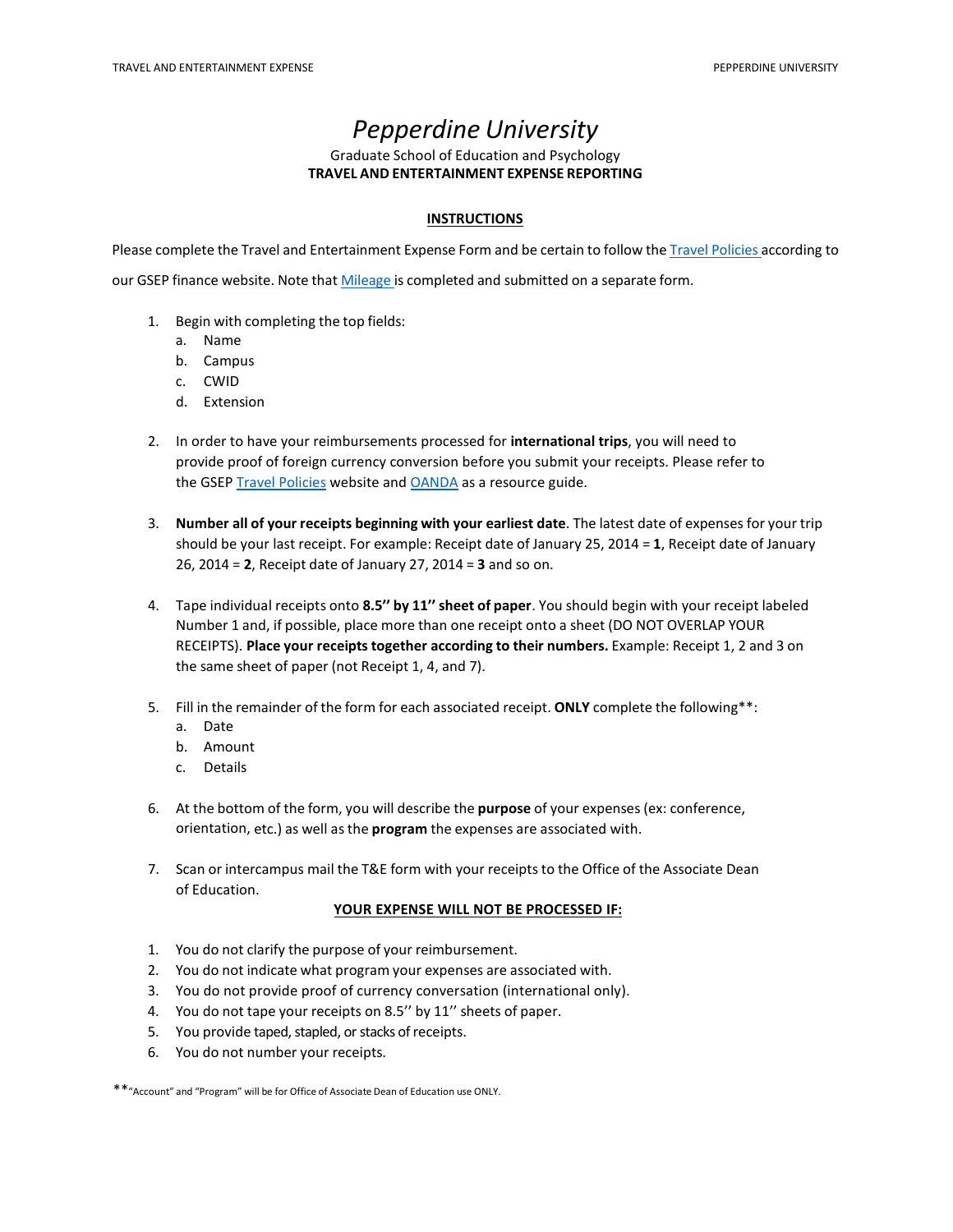## *Pepperdine University*

### Graduate School of Education and Psychology **TRAVEL AND ENTERTAINMENT EXPENSE REPORTING**

### **INSTRUCTIONS**

Please complete the Travel and Entertainment Expense Form and be certain to follow the Travel [Policies](http://community.pepperdine.edu/gsep/finance/travel-policies/) according to

our GSEP finance website. Note tha[t Mileage is](http://community.pepperdine.edu/gsep/finance/travel-policies/mileage/) completed and submitted on a separate form.

- 1. Begin with completing the top fields:
	- a. Name
	- b. Campus
	- c. CWID
	- d. Extension
- 2. In order to have your reimbursements processed for **international trips**, you will need to provide proof of foreign currency conversion before you submit your receipts. Please refer to the GSEP [Travel Policies](http://community.pepperdine.edu/gsep/finance/travel-policies/misc-travel-related-expenses/) website and **OANDA** as a resource guide.
- 3. **Number all of your receipts beginning with your earliest date**. The latest date of expenses for your trip should be your last receipt. For example: Receipt date of January 25, 2014 = **1**, Receipt date of January 26, 2014 = **2**, Receipt date of January 27, 2014 = **3** and so on.
- 4. Tape individual receipts onto **8.5'' by 11'' sheet of paper**. You should begin with your receipt labeled Number 1 and, if possible, place more than one receipt onto a sheet (DO NOT OVERLAP YOUR RECEIPTS). **Place your receipts together according to their numbers.** Example: Receipt 1, 2 and 3 on the same sheet of paper (not Receipt 1, 4, and 7).
- 5. Fill in the remainder of the form for each associated receipt. **ONLY** complete the following\*\*:
	- a. Date
	- b. Amount
	- c. Details
- 6. At the bottom of the form, you will describe the **purpose** of your expenses (ex: conference, orientation, etc.) as well as the **program** the expenses are associated with.
- 7. Scan or intercampus mail the T&E form with your receipts to the Office of the Associate Dean of Education.

#### **YOUR EXPENSE WILL NOT BE PROCESSED IF:**

- 1. You do not clarify the purpose of your reimbursement.
- 2. You do not indicate what program your expenses are associated with.
- 3. You do not provide proof of currency conversation (international only).
- 4. You do not tape your receipts on 8.5'' by 11'' sheets of paper.
- 5. You provide taped, stapled, or stacks of receipts.
- 6. You do not number your receipts.

\*\*"Account" and "Program" will be for Office of Associate Dean of Education use ONLY.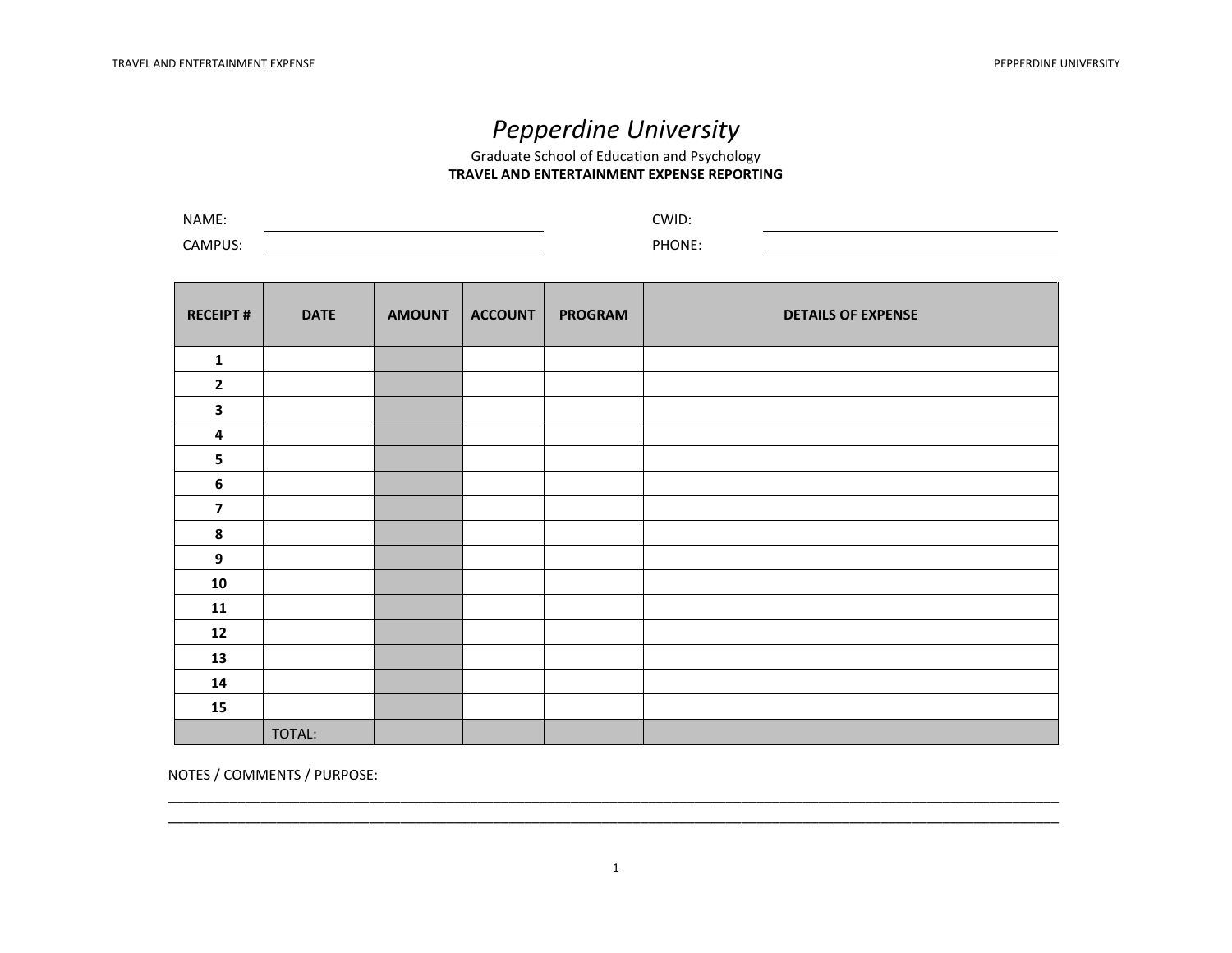# *Pepperdine University*

Graduate School of Education and Psychology **TRAVEL AND ENTERTAINMENT EXPENSE REPORTING** 

| NAME:   | CWID:  |  |
|---------|--------|--|
| CAMPUS: | PHONE. |  |

| <b>RECEIPT#</b>         | <b>DATE</b> | <b>AMOUNT</b> | <b>ACCOUNT</b> | <b>PROGRAM</b> | <b>DETAILS OF EXPENSE</b> |
|-------------------------|-------------|---------------|----------------|----------------|---------------------------|
| ${\bf 1}$               |             |               |                |                |                           |
| $\mathbf{2}$            |             |               |                |                |                           |
| $\mathbf{3}$            |             |               |                |                |                           |
| 4                       |             |               |                |                |                           |
| 5                       |             |               |                |                |                           |
| 6                       |             |               |                |                |                           |
| $\overline{\mathbf{z}}$ |             |               |                |                |                           |
| 8                       |             |               |                |                |                           |
| 9                       |             |               |                |                |                           |
| 10                      |             |               |                |                |                           |
| 11                      |             |               |                |                |                           |
| 12                      |             |               |                |                |                           |
| 13                      |             |               |                |                |                           |
| 14                      |             |               |                |                |                           |
| 15                      |             |               |                |                |                           |
|                         | TOTAL:      |               |                |                |                           |

NOTES / COMMENTS / PURPOSE:

\_\_\_\_\_\_\_\_\_\_\_\_\_\_\_\_\_\_\_\_\_\_\_\_\_\_\_\_\_\_\_\_\_\_\_\_\_\_\_\_\_\_\_\_\_\_\_\_\_\_\_\_\_\_\_\_\_\_\_\_\_\_\_\_\_\_\_\_\_\_\_\_\_\_\_\_\_\_\_\_\_\_\_\_\_\_\_\_\_\_\_\_\_\_\_\_\_\_\_\_\_\_\_\_\_\_\_\_\_\_\_\_\_\_\_ \_\_\_\_\_\_\_\_\_\_\_\_\_\_\_\_\_\_\_\_\_\_\_\_\_\_\_\_\_\_\_\_\_\_\_\_\_\_\_\_\_\_\_\_\_\_\_\_\_\_\_\_\_\_\_\_\_\_\_\_\_\_\_\_\_\_\_\_\_\_\_\_\_\_\_\_\_\_\_\_\_\_\_\_\_\_\_\_\_\_\_\_\_\_\_\_\_\_\_\_\_\_\_\_\_\_\_\_\_\_\_\_\_\_\_